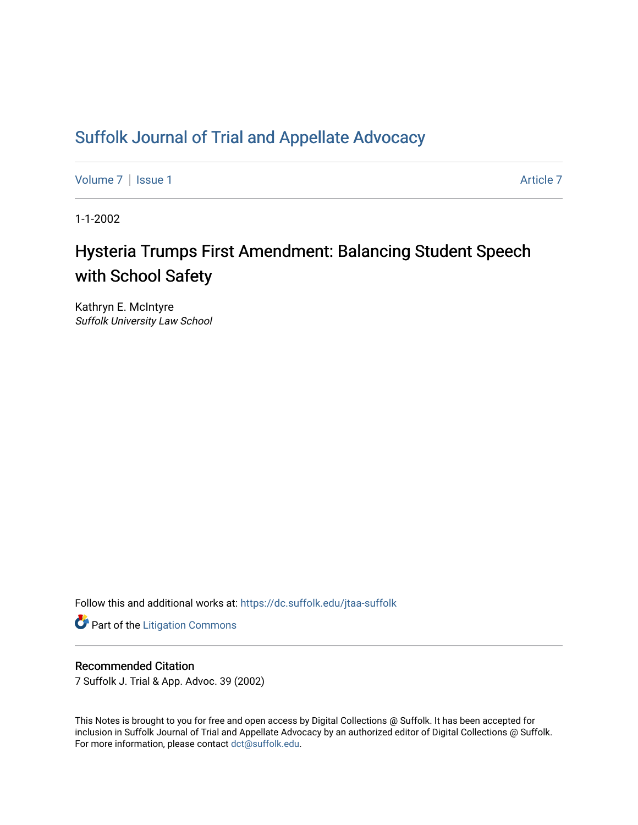## [Suffolk Journal of Trial and Appellate Advocacy](https://dc.suffolk.edu/jtaa-suffolk)

[Volume 7](https://dc.suffolk.edu/jtaa-suffolk/vol7) | [Issue 1](https://dc.suffolk.edu/jtaa-suffolk/vol7/iss1) Article 7

1-1-2002

# Hysteria Trumps First Amendment: Balancing Student Speech with School Safety

Kathryn E. McIntyre Suffolk University Law School

Follow this and additional works at: [https://dc.suffolk.edu/jtaa-suffolk](https://dc.suffolk.edu/jtaa-suffolk?utm_source=dc.suffolk.edu%2Fjtaa-suffolk%2Fvol7%2Fiss1%2F7&utm_medium=PDF&utm_campaign=PDFCoverPages) 

**Part of the [Litigation Commons](https://network.bepress.com/hgg/discipline/910?utm_source=dc.suffolk.edu%2Fjtaa-suffolk%2Fvol7%2Fiss1%2F7&utm_medium=PDF&utm_campaign=PDFCoverPages)** 

#### Recommended Citation

7 Suffolk J. Trial & App. Advoc. 39 (2002)

This Notes is brought to you for free and open access by Digital Collections @ Suffolk. It has been accepted for inclusion in Suffolk Journal of Trial and Appellate Advocacy by an authorized editor of Digital Collections @ Suffolk. For more information, please contact [dct@suffolk.edu](mailto:dct@suffolk.edu).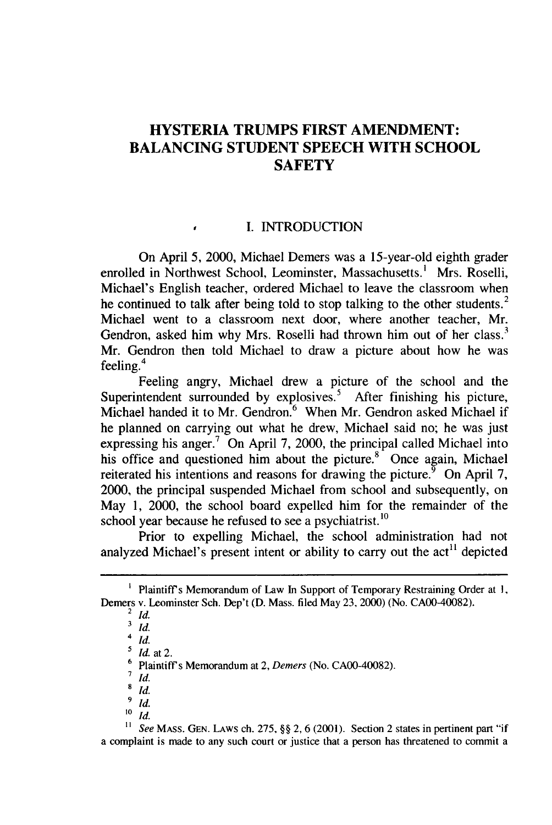### **HYSTERIA TRUMPS FIRST AMENDMENT: BALANCING STUDENT SPEECH WITH SCHOOL SAFETY**

#### **I. INTRODUCTION**

On April **5,** 2000, Michael Demers was a 15-year-old eighth grader enrolled in Northwest School, Leominster, Massachusetts.' Mrs. Roselli, Michael's English teacher, ordered Michael to leave the classroom when he continued to talk after being told to stop talking to the other students.<sup>2</sup> Michael went to a classroom next door, where another teacher, Mr. Gendron, asked him why Mrs. Roselli had thrown him out of her class.<sup>3</sup> Mr. Gendron then told Michael to draw a picture about how he was m. October 18

Feeling angry, Michael drew a picture of the school and the Superintendent surrounded by explosives.<sup>5</sup> After finishing his picture, Michael handed it to Mr. Gendron.<sup>6</sup> When Mr. Gendron asked Michael if he planned on carrying out what he drew, Michael said no; he was just expressing his anger.<sup>7</sup> On April 7, 2000, the principal called Michael into his office and questioned him about the picture. $8^{\circ}$  Once again, Michael reiterated his intentions and reasons for drawing the picture.<sup> $\frac{5}{9}$ </sup> On April 7, 2000, the principal suspended Michael from school and subsequently, on May **1,** 2000, the school board expelled him for the remainder of the school year because he refused to see a psychiatrist. **<sup>10</sup>**

Prior to expelling Michael, the school administration had not analyzed Michael's present intent or ability to carry out the  $act<sup>11</sup>$  depicted

**1** *See* MASS. **GEN.** LAWS ch. 275, §§ 2, 6 (2001). Section 2 states in pertinent part "if a complaint is made to any such court or justice that a person has threatened to commit a

**<sup>1</sup>** Plaintiffs Memorandum of Law **In** Support of Temporary Restraining Order at **I,** Demers v. Leominster Sch. Dep't (D. Mass. filed May **23,** 2000) (No. CAOO-40082).

<sup>2</sup> *Id.*

 $\frac{3}{4}$  *Id.* 

<sup>4</sup> *id.*

**<sup>&#</sup>x27;** *Id.* at 2.

<sup>&</sup>lt;sup>6</sup> Plaintiff's Memorandum at 2, *Demers* (No. CA00-40082).

**<sup>7</sup>** *id.*

**<sup>8</sup>** *id.*

 $\int_{10}^{9}$  *Id.* 

 $\frac{10}{11}$  *Id.*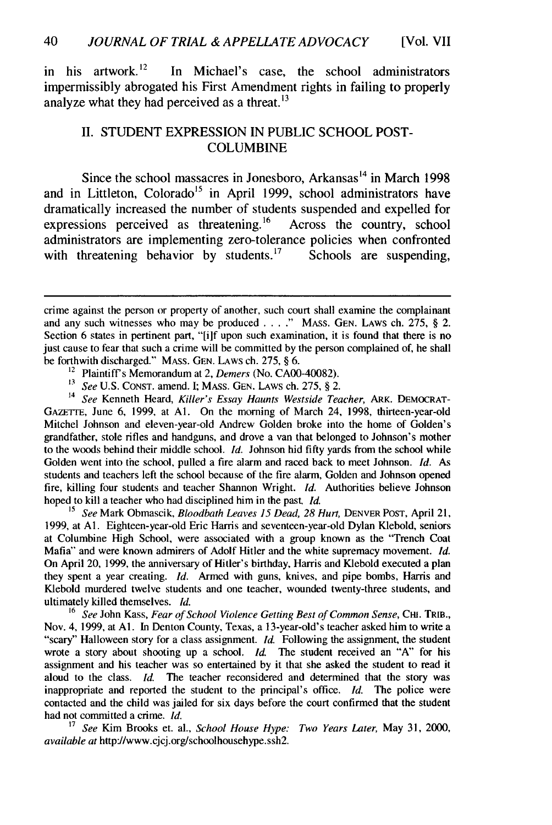in his artwork.<sup>12</sup> In Michael's case, the school administrators impermissibly abrogated his First Amendment rights in failing to properly analyze what they had perceived as a threat. $^{13}$ 

#### **II. STUDENT** EXPRESSION IN **PUBLIC SCHOOL POST-COLUMBINE**

Since the school massacres in Jonesboro, Arkansas<sup>14</sup> in March 1998 and in Littleton, Colorado<sup>15</sup> in April 1999, school administrators have dramatically increased the number of students suspended and expelled for expressions perceived as threatening.<sup>16</sup> Across the country, school expressions perceived as threatening.<sup>16</sup> administrators are implementing zero-tolerance policies when confronted with threatening behavior by students.<sup>17</sup> Schools are suspending. with threatening behavior by students.<sup>17</sup>

14 *See* Kenneth Heard, *Killer's Essay Haunts Westside Teacher,* ARK. DEMOCRAT-GAZETTE, June 6, 1999, at **Al.** On the morning of March 24, 1998, thirteen-year-old Mitchel Johnson and eleven-year-old Andrew Golden broke into the home of Golden's grandfather, stole rifles and handguns, and drove a van that belonged to Johnson's mother to the woods behind their middle school. *Id.* Johnson hid fifty yards from the school while Golden went into the school, pulled a fire alarm and raced back to meet Johnson. *Id.* As students and teachers left the school because of the fire alarm, Golden and Johnson opened fire, killing four students and teacher Shannon Wright. *Id.* Authorities believe Johnson hoped to kill a teacher who had disciplined him in the past *Id.*

**<sup>15</sup>***See* Mark Obmascik, *Bloodbath Leaves 15 Dead, 28 Hurt,* DENVER **POST,** April 21, 1999, at **Al.** Eighteen-year-old Eric Harris and seventeen-year-old Dylan Klebold, seniors at Columbine High School, were associated with a group known as the "Trench Coat Mafia" and were known admirers of Adolf Hitler and the white supremacy movement. *Id.* On April 20, 1999, the anniversary of Hitler's birthday, Harris and Klebold executed a plan they spent a year creating. *Id.* Armed with guns, knives, and pipe bombs, Harris and Klebold murdered twelve students and one teacher, wounded twenty-three students, and ultimately killed themselves. *Id.*

<sup>16</sup>*See* John Kass, *Fear of School Violence Getting Best of Common Sense,* **CHI.** TRIB., Nov. 4, 1999, at **Al.** In Denton County, Texas, a 13-year-old's teacher asked him to write a "scary" Halloween story for a class assignment. *Id.* Following the assignment, the student wrote a story about shooting up a school. *Id.* The student received an "A" for his assignment and his teacher was so entertained by it that she asked the student to read it aloud to the class. *Id.* The teacher reconsidered and determined that the story was inappropriate and reported the student to the principal's office. *Id.* The police were contacted and the child was jailed for six days before the court confirmed that the student had not committed a crime. *Id.*

<sup>17</sup>*See* Kim Brooks et. al., *School House Hype: Two Years Later,* May 31, 2000, *available at* http://www.cjcj.org/schoolhousehype.ssh2.

crime against the person or property of another, such court shall examine the complainant and any such witnesses who may be produced  $\ldots$ ." MASS. GEN. LAWS ch. 275, § 2. Section 6 states in pertinent part, "[i]f upon such examination, it is found that there is no just cause to fear that such a crime will be committed by the person complained of, he shall be forthwith discharged." MASS. GEN. LAWS ch. 275, § 6.

 $12$  Plaintiff's Memorandum at 2, Demers (No. CA00-40082).

**<sup>13</sup>***See* U.S. **CONST.** amend. I; **MASS.** GEN. LAWS ch. 275, § 2.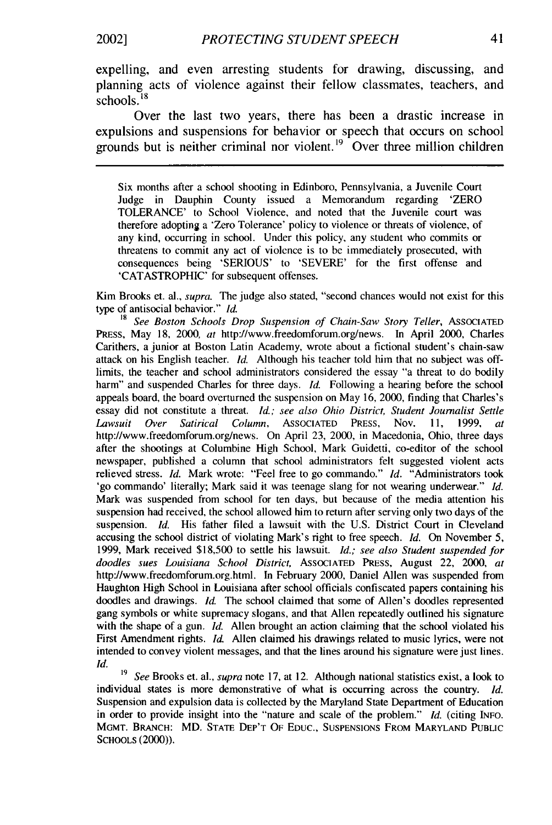expelling, and even arresting students for drawing, discussing, and planning acts of violence against their fellow classmates, teachers, and  $s$ chools.<sup>18</sup>

Over the last two years, there has been a drastic increase in expulsions and suspensions for behavior or speech that occurs on school grounds but is neither criminal nor violent.<sup>19</sup> Over three million children

Six months after a school shooting in Edinboro, Pennsylvania, a Juvenile Court Judge in Dauphin County issued a Memorandum regarding 'ZERO TOLERANCE' to School Violence, and noted that the Juvenile court was therefore adopting a 'Zero Tolerance' policy to violence or threats of violence, of any kind, occurring in school. Under this policy, any student who commits or threatens to commit any act of violence is to be immediately prosecuted, with consequences being 'SERIOUS' to 'SEVERE' for the first offense and 'CATASTROPHIC' for subsequent offenses.

Kim Brooks et. al., *supra.* The judge also stated, "second chances would not exist for this type of antisocial behavior." *Id.*

**<sup>18</sup>***See Boston Schools Drop Suspension of Chain-Saw Story Teller,* ASSOCIATED PRESS, May 18, 2000, *at* http://www.freedomforum.org/news. In April 2000, Charles Carithers, a junior at Boston Latin Academy, wrote about a fictional student's chain-saw attack on his English teacher. *Id.* Although his teacher told him that no subject was offlimits, the teacher and school administrators considered the essay "a threat to do bodily harm" and suspended Charles for three days. *Id.* Following a hearing before the school appeals board, the board overturned the suspension on May 16, 2000, finding that Charles's essay did not constitute a threat. *Id.; see also Ohio District, Student Journalist Settle Lawsuit Over Satirical Column,* ASSOCIATED PRESS, Nov. 11, 1999, *at* http://www.freedomforum.org/news. On April 23, 2000, in Macedonia, Ohio, three days after the shootings at Columbine High School, Mark Guidetti, co-editor of the school newspaper, published a column that school administrators felt suggested violent acts relieved stress. *Id.* Mark wrote: "Feel free to go commando." *Id.* "Administrators took 'go commando' literally; Mark said it was teenage slang for not wearing underwear." *Id.* Mark was suspended from school for ten days, but because of the media attention his suspension had received, the school allowed him to return after serving only two days of the suspension. *Id.* His father filed a lawsuit with the U.S. District Court in Cleveland accusing the school district of violating Mark's right to free speech. *Id.* On November 5, 1999, Mark received \$18,500 to settle his lawsuit. *Id.; see also Student suspended for doodles sues Louisiana School District,* ASSOCIATED PRESS, August 22, 2000, *at* http://www.freedomforum.org.html. In February 2000, Daniel Allen was suspended from Haughton High School in Louisiana after school officials confiscated papers containing his doodles and drawings. *Id.* The school claimed that some of Allen's doodles represented gang symbols or white supremacy slogans, and that Allen repeatedly outlined his signature with the shape of a gun. *Id.* Allen brought an action claiming that the school violated his First Amendment rights. *Id.* Allen claimed his drawings related to music lyrics, were not intended to convey violent messages, and that the lines around his signature were just lines. *Id.*

*<sup>19</sup>See* Brooks et. al., *supra* note 17, at 12. Although national statistics exist, a look to individual states is more demonstrative of what is occurring across the country. *Id.* Suspension and expulsion data is collected by the Maryland State Department of Education in order to provide insight into the "nature and scale of the problem." *Id.* (citing INFO. MGMT. BRANCH: MD. **STATE** DEP'T OF **EDUC.,** SUSPENSIONS FROM MARYLAND PUBLIC **SCHOOLS** (2000)).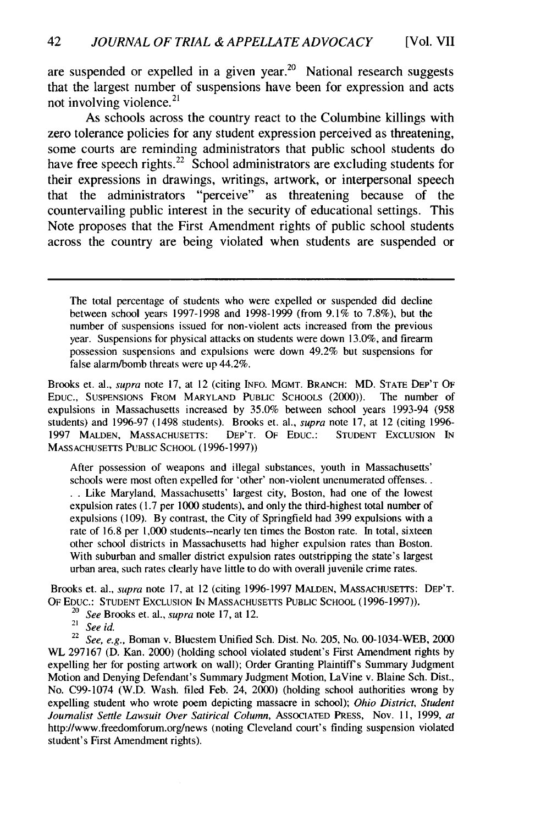are suspended or expelled in a given year.<sup>20</sup> National research suggests that the largest number of suspensions have been for expression and acts not involving violence. $21$ 

As schools across the country react to the Columbine killings with zero tolerance policies for any student expression perceived as threatening, some courts are reminding administrators that public school students do have free speech rights.<sup>22</sup> School administrators are excluding students for their expressions in drawings, writings, artwork, or interpersonal speech that the administrators "perceive" as threatening because of the countervailing public interest in the security of educational settings. This Note proposes that the First Amendment rights of public school students across the country are being violated when students are suspended or

The total percentage of students who were expelled or suspended did decline between school years 1997-1998 and 1998-1999 (from 9.1% to 7.8%), but the number of suspensions issued for non-violent acts increased from the previous year. Suspensions for physical attacks on students were down 13.0%, and firearm possession suspensions and expulsions were down 49.2% but suspensions for false alarm/bomb threats were up 44.2%.

Brooks et. al., supra note 17, at 12 (citing **INFO.** MGMT. BRANCH: MD. **STATE** DEP'T OF EDUC., SUSPENSIONS FROM MARYLAND PUBLIC SCHOOLS (2000)). The number of expulsions in Massachusetts increased by 35.0% between school years 1993-94 (958 students) and 1996-97 (1498 students). Brooks et. al., supra note 17, at 12 (citing 1996- 1997 MALDEN, MASSACHUSETTS: DEP'T. OF EDUC.: STUDENT EXCLUSION IN MASSACHUSETTS PUBLIC SCHOOL (1996-1997))

After possession of weapons and illegal substances, youth in Massachusetts' schools were most often expelled for 'other' non-violent unenumerated offenses.. • **.** Like Maryland, Massachusetts' largest city, Boston, had one of the lowest expulsion rates (1.7 per 1000 students), and only the third-highest total number of expulsions (109). By contrast, the City of Springfield had 399 expulsions with a rate of 16.8 per 1,000 students--nearly ten times the Boston rate. In total, sixteen other school districts in Massachusetts had higher expulsion rates than Boston. With suburban and smaller district expulsion rates outstripping the state's largest urban area, such rates clearly have little to do with overall juvenile crime rates.

Brooks et. al., supra note 17, at 12 (citing 1996-1997 MALDEN, MASSACHUSETTS: DEP'T. OF EDUC.: STUDENT EXCLUSION IN MASSACHUSETTS PUBLIC SCHOOL (1996-1997)).

- <sup>20</sup>*See* Brooks et. al., supra note 17, at 12.
- $^{21}$  See Di

 $22$  See, e.g., Boman v. Bluestem Unified Sch. Dist. No. 205, No. 00-1034-WEB, 2000 WL 297167 (D. Kan. 2000) (holding school violated student's First Amendment rights by expelling her for posting artwork on wall); Order Granting Plaintiff's Summary Judgment Motion and Denying Defendant's Summary Judgment Motion, LaVine v. Blaine Sch. Dist., No. C99-1074 (W.D. Wash. filed Feb. 24, 2000) (holding school authorities wrong by expelling student who wrote poem depicting massacre in school); *Ohio District, Student Journalist Settle Lawsuit Over Satirical Column,* ASSOCIATED PRESS, Nov. 11, 1999, *at* http://www.freedomforum.org/news (noting Cleveland court's finding suspension violated student's First Amendment rights).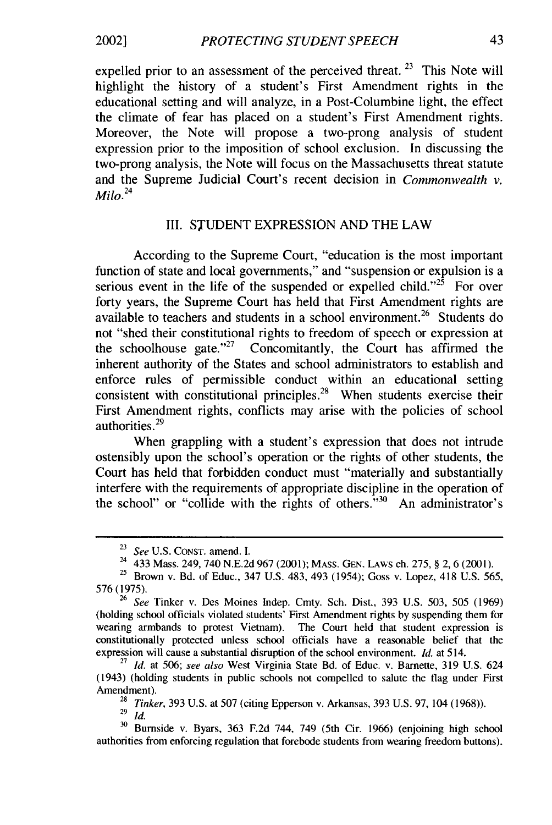2002]

expelled prior to an assessment of the perceived threat. *23* This Note will highlight the history of a student's First Amendment rights in the educational setting and will analyze, in a Post-Columbine light, the effect the climate of fear has placed on a student's First Amendment rights. Moreover, the Note will propose a two-prong analysis of student expression prior to the imposition of school exclusion. In discussing the two-prong analysis, the Note will focus on the Massachusetts threat statute and the Supreme Judicial Court's recent decision in *Commonwealth v. Milo. 24*

#### III. STUDENT EXPRESSION AND THE LAW

According to the Supreme Court, "education is the most important function of state and local governments," and "suspension or expulsion is a serious event in the life of the suspended or expelled child.<sup> $25$ </sup> For over forty years, the Supreme Court has held that First Amendment rights are available to teachers and students in a school environment.<sup>26</sup> Students do not "shed their constitutional rights to freedom of speech or expression at the schoolhouse gate."<sup>27</sup> Concomitantly, the Court has affirmed the inherent authority of the States and school administrators to establish and enforce rules of permissible conduct within an educational setting consistent with constitutional principles.<sup>28</sup> When students exercise their First Amendment rights, conflicts may arise with the policies of school authorities. $29$ 

When grappling with a student's expression that does not intrude ostensibly upon the school's operation or the rights of other students, the Court has held that forbidden conduct must "materially and substantially interfere with the requirements of appropriate discipline in the operation of the school" or "collide with the rights of others.<sup> $\dot{v}$ 30</sup> An administrator's

<sup>23</sup>*See* U.S. CONST. amend. I.

<sup>24 433</sup> Mass. 249, 740 N.E.2d 967 (2001); MASS. GEN. LAWS ob. 275, § 2, 6 (2001).

 $^{25}$  Brown v. Bd. of Educ., 347 U.S. 483, 493, 403 (1954); Goss v. Lopez, 418 U.S. 565 <sup>25</sup> Brown v. Bd. of Educ., 347 U.S. 483, 493 (1954); Goss v. Lopez, 418 U.S. 565, 576 (1975).

<sup>26</sup>*See* Tinker v. Des Moines Indep. Cmty. Sch. Dist., 393 U.S. 503, 505 (1969) (holding school officials violated students' First Amendment rights by suspending them for wearing armbands to protest Vietnam). The Court held that student expression is constitutionally protected unless school officials have a reasonable belief that the expression will cause a substantial disruption of the school environment. *Id.* at 514.

**<sup>27</sup>***Id.* at 506; *see also* West Virginia State Bd. of Educ. v. Barnette, 319 U.S. 624 (1943) (holding students in public schools not compelled to salute the flag under First Amendment).

<sup>28</sup>*Tinker,* 393 U.S. at 507 (citing Epperson v. Arkansas, 393 U.S. 97, 104 (1968)).  $29 \overline{Id}$ 

**<sup>30</sup>** Burnside v. Byars, 363 F.2d 744, 749 (5th Cir. 1966) (enjoining high school authorities from enforcing regulation that forebode students from wearing freedom buttons).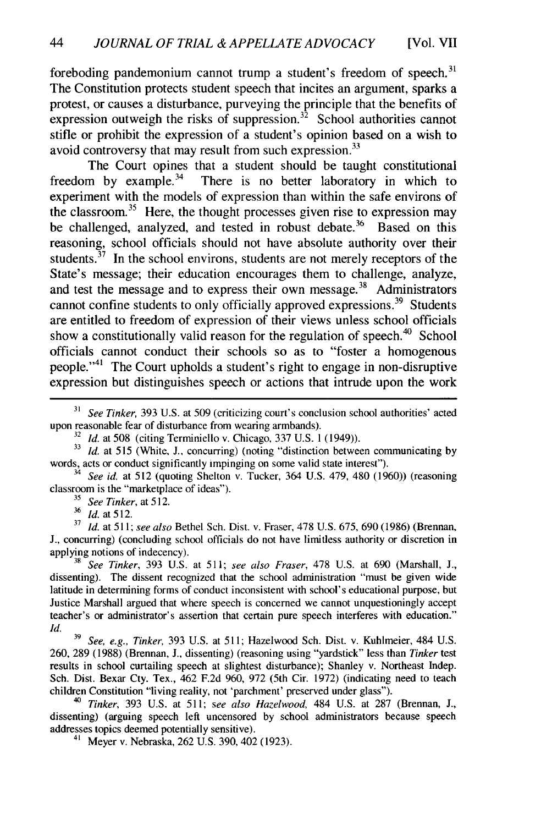foreboding pandemonium cannot trump a student's freedom of speech. $31$ The Constitution protects student speech that incites an argument, sparks a protest, or causes a disturbance, purveying the principle that the benefits of expression outweigh the risks of suppression.<sup>32</sup> School authorities cannot stifle or prohibit the expression of a student's opinion based on a wish to avoid controversy that may result from such expression.<sup>33</sup>

The Court opines that a student should be taught constitutional freedom by example. $34$  There is no better laboratory in which to experiment with the models of expression than within the safe environs of the classroom.<sup>35</sup> Here, the thought processes given rise to expression may be challenged, analyzed, and tested in robust debate.<sup>36</sup> Based on this reasoning, school officials should not have absolute authority over their students. $37$  In the school environs, students are not merely receptors of the State's message; their education encourages them to challenge, analyze, and test the message and to express their own message. $38$  Administrators cannot confine students to only officially approved expressions.<sup>39</sup> Students are entitled to freedom of expression of their views unless school officials show a constitutionally valid reason for the regulation of speech.<sup>40</sup> School officials cannot conduct their schools so as to "foster a homogenous people."'41 The Court upholds a student's right to engage in non-disruptive expression but distinguishes speech or actions that intrude upon the work

**<sup>31</sup>***See Tinker,* 393 U.S. at 509 (criticizing court's conclusion school authorities' acted upon reasonable fear of disturbance from wearing armbands).

<sup>4</sup> See id. at 512 (quoting Shelton v. Tucker, 364 U.S. 479, 480 (1960)) (reasoning classroom is the "marketplace of ideas").

**<sup>35</sup>***See Tinker,* at 512.

**<sup>36</sup>***Id.* at 512.

**<sup>37</sup>***Id.* at 511; *see also* Bethel Sch. Dist. v. Fraser, 478 U.S. 675, 690 (1986) (Brennan, **J.,** concurring) (concluding school officials do not have limitless authority or discretion in applying notions of indecency).

**<sup>8</sup>***See Tinker,* 393 U.S. at 511; *see also Fraser,* 478 U.S. at 690 (Marshall, J., dissenting). The dissent recognized that the school administration "must be given wide latitude in determining forms of conduct inconsistent with school's educational purpose, but Justice Marshall argued that where speech is concerned we cannot unquestioningly accept teacher's or administrator's assertion that certain pure speech interferes with education." *Id.*

**<sup>39</sup>***See, e.g., Tinker,* 393 U.S. at 511; Hazelwood Sch. Dist. v. Kuhlmeier, 484 U.S. 260, 289 (1988) (Brennan, J., dissenting) (reasoning using "yardstick" less than *Tinker* test results in school curtailing speech at slightest disturbance); Shanley v. Northeast Indep. Sch. Dist. Bexar Cty. Tex., 462 F.2d 960, 972 (5th Cir. 1972) (indicating need to teach children Constitution "living reality, not 'parchment' preserved under glass").

<sup>40</sup>*Tinker,* 393 U.S. at 511; *see also Hazelwood,* 484 U.S. at 287 (Brennan, J., dissenting) (arguing speech left uncensored by school administrators because speech addresses topics deemed potentially sensitive).

41 Meyer v. Nebraska, 262 U.S. 390, 402 (1923).

**<sup>32</sup>***Id.* at 508 (citing Terminiello v. Chicago, 337 U.S. 1 (1949)).

<sup>&</sup>lt;sup>33</sup> *Id.* at 515 (White, J., concurring) (noting "distinction between communicating by words, acts or conduct significantly impinging on some valid state interest").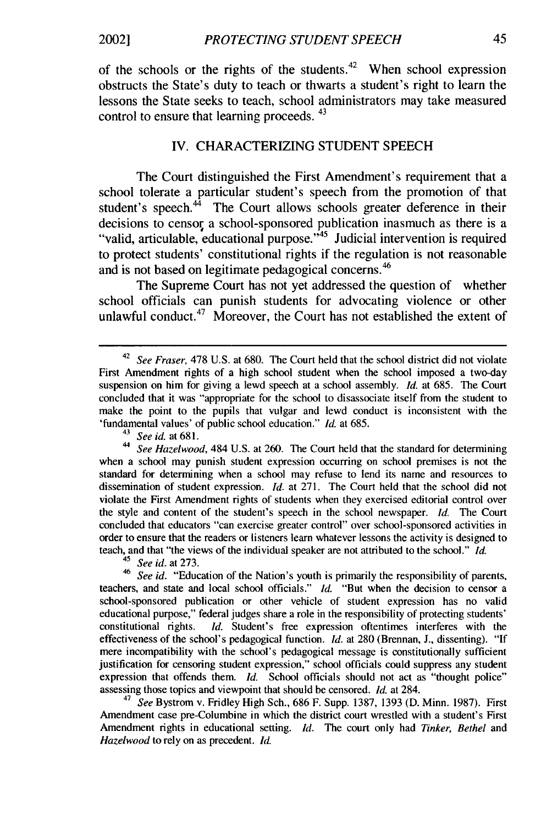of the schools or the rights of the students.<sup>42</sup> When school expression obstructs the State's duty to teach or thwarts a student's right to learn the lessons the State seeks to teach, school administrators may take measured control to ensure that learning proceeds. 43

#### IV. CHARACTERIZING STUDENT SPEECH

The Court distinguished the First Amendment's requirement that a school tolerate a particular student's speech from the promotion of that student's speech. $44$  The Court allows schools greater deference in their decisions to censor a school-sponsored publication inasmuch as there is a "valid, articulable, educational purpose. '45 Judicial intervention is required to protect students' constitutional rights if the regulation is not reasonable and is not based on legitimate pedagogical concerns.<sup>46</sup>

The Supreme Court has not yet addressed the question of whether school officials can punish students for advocating violence or other unlawful conduct.<sup>47</sup> Moreover, the Court has not established the extent of

**<sup>44</sup>***See Hazelwood,* 484 U.S. at 260. The Court held that the standard for determining when a school may punish student expression occurring on school premises is not the standard for determining when a school may refuse to lend its name and resources to dissemination of student expression. *Id.* at 271. The Court held that the school did not violate the First Amendment rights of students when they exercised editorial control over the style and content of the student's speech in the school newspaper. *Id.* The Court concluded that educators "can exercise greater control" over school-sponsored activities in order to ensure that the readers or listeners learn whatever lessons the activity is designed to teach, and that "the views of the individual speaker are not attributed to the school." *Id.* **45** *See id.* at 273.

**46** *See id.* "Education of the Nation's youth is primarily the responsibility of parents, teachers, and state and local school officials." *Id.* "But when the decision to censor a school-sponsored publication or other vehicle of student expression has no valid educational purpose," federal judges share a role in the responsibility of protecting students' constitutional rights. *Id.* Student's free expression oftentimes interferes with the effectiveness of the school's pedagogical function. *Id.* at 280 (Brennan, J., dissenting). "If mere incompatibility with the school's pedagogical message is constitutionally sufficient justification for censoring student expression," school officials could suppress any student expression that offends them. *Id.* School officials should not act as "thought police" assessing those topics and viewpoint that should be censored. *Id.* at 284.

<sup>47</sup>*See* Bystrom v. Fridley High Sch., 686 F. Supp. 1387, 1393 (D. Minn. 1987). First Amendment case pre-Columbine in which the district court wrestled with a student's First Amendment rights in educational setting. *Id.* The court only had *Tinker, Bethel* and *Hazelwood* to rely on as precedent. *Id.*

<sup>42</sup>*See Fraser,* 478 U.S. at 680. The Court held that the school district did not violate First Amendment rights of a high school student when the school imposed a two-day suspension on him for giving a lewd speech at a school assembly. *Id.* at 685. The Court concluded that it was "appropriate for the school to disassociate itself from the student to make the point to the pupils that vulgar and lewd conduct is inconsistent with the 'fundamental values' of public school education." *Id.* at 685.

**<sup>43</sup>** *See id.* at 681.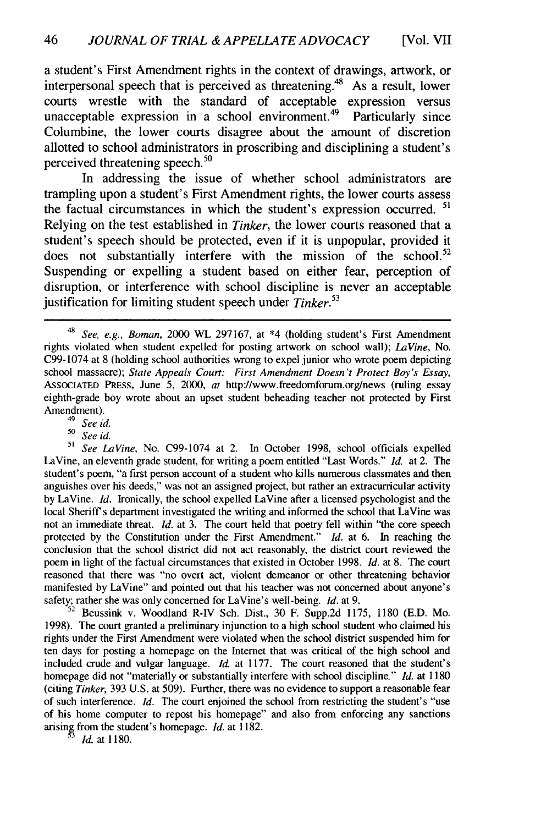a student's First Amendment rights in the context of drawings, artwork, or interpersonal speech that is perceived as threatening.<sup>48</sup> As a result, lower courts wrestle with the standard of acceptable expression versus unacceptable expression in a school environment.<sup>49</sup> Particularly since Columbine, the lower courts disagree about the amount of discretion allotted to school administrators in proscribing and disciplining a student's perceived threatening speech.<sup>50</sup>

In addressing the issue of whether school administrators are trampling upon a student's First Amendment rights, the lower courts assess the factual circumstances in which the student's expression occurred. **51** Relying on the test established in *Tinker,* the lower courts reasoned that a student's speech should be protected, even if it is unpopular, provided it does not substantially interfere with the mission of the school.<sup>52</sup> Suspending or expelling a student based on either fear, perception of disruption, or interference with school discipline is never an acceptable justification for limiting student speech under *Tinker.<sup>53</sup>*

*<sup>49</sup>See id.*

*<sup>50</sup>See id.*

*51 See LaVine,* No. C99-1074 at 2. In October 1998, school officials expelled LaVine, an eleventh grade student, for writing a poem entitled "Last Words." *Id.* at 2. The student's poem, "a first person account of a student who kills numerous classmates and then anguishes over his deeds," was not an assigned project, but rather an extracurricular activity by LaVine. *Id.* Ironically, the school expelled LaVine after a licensed psychologist and the local Sheriff's department investigated the writing and informed the school that LaVine was not an immediate threat. *Id.* at 3. The court held that poetry fell within "the core speech protected by the Constitution under the First Amendment." *Id.* at 6. In reaching the conclusion that the school district did not act reasonably, the district court reviewed the poem in light of the factual circumstances that existed in October 1998. *Id.* at 8. The court reasoned that there was "no overt act, violent demeanor or other threatening behavior manifested by LaVine" and pointed out that his teacher was not concerned about anyone's safety; rather she was only concerned for LaVine's well-being. *Id.* at 9.

Beussink v. Woodland R-IV Sch. Dist., 30 F. Supp.2d 1175, 1180 (E.D. Mo. 1998). The court granted a preliminary injunction to a high school student who claimed his rights under the First Amendment were violated when the school district suspended him for ten days for posting a homepage on the Internet that was critical of the high school and included crude and vulgar language. *Id.* at 1177. The court reasoned that the student's homepage did not "materially or substantially interfere with school discipline." *Id.* at 1180 (citing *Tinker,* 393 U.S. at 509). Further, there was no evidence to support a reasonable fear of such interference. *Id.* The court enjoined the school from restricting the student's "use of his home computer to repost his homepage" and also from enforcing any sanctions arising from the student's homepage. *Id.* at 1182.

*3 Id.* at 1180.

<sup>48</sup>*See, e.g., Boman,* 2000 WL 297167, at \*4 (holding student's First Amendment rights violated when student expelled for posting artwork on school wall); *LaVine,* No. C99-1074 at 8 (holding school authorities wrong to expel junior who wrote poem depicting school massacre); *State Appeals Court: First Amendment Doesn't Protect Boy's Essay,* ASSOCIATED PRESS, June 5, 2000, at http://www.freedomforum.org/news (ruling essay eighth-grade boy wrote about an upset student beheading teacher not protected by First Amendment).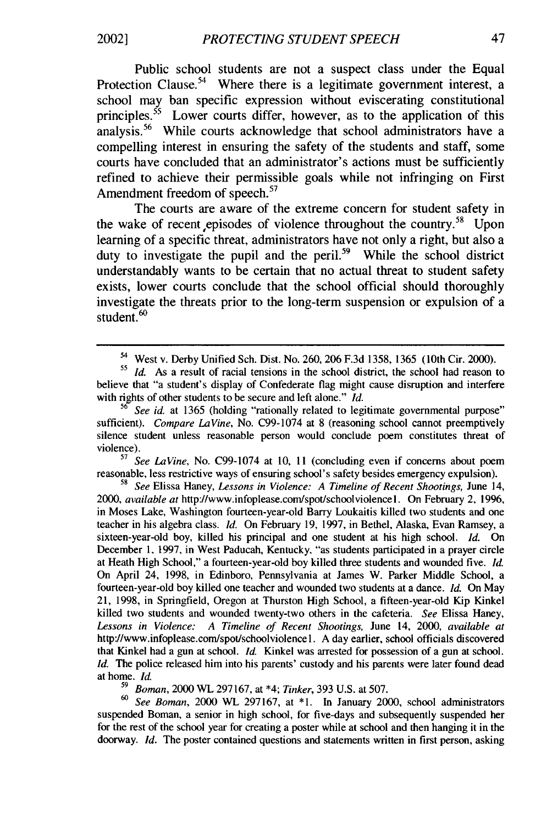Public school students are not a suspect class under the Equal Protection Clause.<sup>54</sup> Where there is a legitimate government interest, a school may ban specific expression without eviscerating constitutional principles.<sup>55</sup> Lower courts differ, however, as to the application of this analysis.<sup>56</sup> While courts acknowledge that school administrators have a compelling interest in ensuring the safety of the students and staff, some courts have concluded that an administrator's actions must be sufficiently refined to achieve their permissible goals while not infringing on First Amendment freedom of speech.<sup>57</sup>

The courts are aware of the extreme concern for student safety in the wake of recent episodes of violence throughout the country.<sup>58</sup> Upon learning of a specific threat, administrators have not only a right, but also a duty to investigate the pupil and the peril.<sup>59</sup> While the school district understandably wants to be certain that no actual threat to student safety exists, lower courts conclude that the school official should thoroughly investigate the threats prior to the long-term suspension or expulsion of a student.<sup>60</sup>

*See LaVine*, No. C99-1074 at 10, 11 (concluding even if concerns about poem reasonable, less restrictive ways of ensuring school's safety besides emergency expulsion).

**<sup>58</sup>***See* Elissa Haney, *Lessons in Violence: A Timeline of Recent Shootings,* June 14, 2000, *available at* http://www.infoplease.com/spot/schoolviolencel. On February 2, 1996, in Moses Lake, Washington fourteen-year-old Barry Loukaitis killed two students and one teacher in his algebra class. *Id.* On February 19, 1997, in Bethel, Alaska, Evan Ramsey, a sixteen-year-old boy, killed his principal and one student at his high school. *Id.* On December **1,** 1997, in West Paducah, Kentucky, "as students participated in a prayer circle at Heath High School," a fourteen-year-old boy killed three students and wounded five. *Id.* On April 24, 1998, in Edinboro, Pennsylvania at James W. Parker Middle School, a fourteen-year-old boy killed one teacher and wounded two students at a dance. *Id.* On May 21, 1998, in Springfield, Oregon at Thurston High School, a fifteen-year-old Kip Kinkel killed two students and wounded twenty-two others in the cafeteria. *See* Elissa Haney, *Lessons in Violence: A Timeline of Recent Shootings,* June 14, 2000, *available at* http://www.infoplease.com/spot/schoolviolencel. A day earlier, school officials discovered that Kinkel had a gun at school. *Id.* Kinkel was arrested for possession of a gun at school. *Id.* The police released him into his parents' custody and his parents were later found dead at home. *Id.*

*<sup>59</sup>Boman,* 2000 WL 297167, at \*4; *Tinker,* 393 U.S. at 507.

*<sup>60</sup>See Boman,* 2000 WL 297167, at \*1. In January 2000, school administrators suspended Boman, a senior in high school, for five-days and subsequently suspended her for the rest of the school year for creating a poster while at school and then hanging it in the doorway. *Id.* The poster contained questions and statements written in first person, asking

2002]

<sup>54</sup> West v. Derby Unified Sch. Dist. No. 260, 206 F.3d 1358, 1365 (10th Cir. 2000).

*<sup>55</sup>Id.* As a result of racial tensions in the school district, the school had reason to believe that "a student's display of Confederate flag might cause disruption and interfere with rights of other students to be secure and left alone." *Id.*

*See id.* at 1365 (holding "rationally related to legitimate governmental purpose" sufficient). *Compare LaVine,* No. C99-1074 at 8 (reasoning school cannot preemptively silence student unless reasonable person would conclude poem constitutes threat of violence).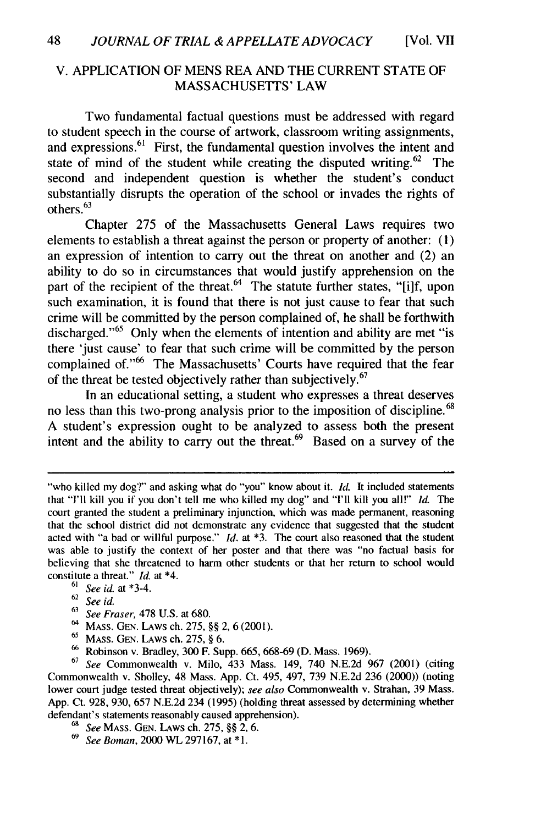#### V. APPLICATION OF MENS REA AND THE CURRENT STATE OF MASSACHUSETTS' LAW

Two fundamental factual questions must be addressed with regard to student speech in the course of artwork, classroom writing assignments, and expressions.<sup>61</sup> First, the fundamental question involves the intent and state of mind of the student while creating the disputed writing.<sup>62</sup> The second and independent question is whether the student's conduct substantially disrupts the operation of the school or invades the rights of others.<sup>63</sup>

Chapter 275 of the Massachusetts General Laws requires two elements to establish a threat against the person or property of another: (1) an expression of intention to carry out the threat on another and (2) an ability to do so in circumstances that would justify apprehension on the part of the recipient of the threat.  $64$  The statute further states, "[i]f, upon such examination, it is found that there is not just cause to fear that such crime will be committed by the person complained of, he shall be forthwith discharged."<sup>65</sup> Only when the elements of intention and ability are met "is there 'just cause' to fear that such crime will be committed by the person complained of."<sup>66</sup> The Massachusetts' Courts have required that the fear of the threat be tested objectively rather than subjectively.  $67$ 

In an educational setting, a student who expresses a threat deserves no less than this two-prong analysis prior to the imposition of discipline.<sup>68</sup> A student's expression ought to be analyzed to assess both the present intent and the ability to carry out the threat. $69$  Based on a survey of the

<sup>&</sup>quot;who killed my dog?" and asking what do "you" know about it. *Id.* It included statements that **"I'll** kill you if you don't tell me who killed my dog" and **"I'll** kill you all!" *Id.* The court granted the student a preliminary injunction, which was made permanent, reasoning that the school district did not demonstrate any evidence that suggested that the student acted with "a bad or willful purpose." *Id.* at **\*3.** The court also reasoned that the student was able to justify the context of her poster and that there was "no factual basis for believing that she threatened to harm other students or that her return to school would constitute a threat." *Id.* at \*4.

<sup>61</sup>*See id.* at \*3-4.

<sup>62</sup>*See id.*

<sup>63</sup>*See Fraser,* 478 U.S. at 680.

<sup>64</sup>MASS. GEN. LAWS ch. 275, §§ 2, 6 (2001).

<sup>&</sup>lt;sup>65</sup> MASS. GEN. LAWS ch. 275, § 6.

**<sup>66</sup>**Robinson v. Bradley, 300 F. Supp. 665, 668-69 (D. Mass. 1969).

<sup>67</sup>*See* Commonwealth v. Milo, 433 Mass. 149, 740 N.E.2d 967 (2001) (citing Commonwealth v. Sholley, 48 Mass. App. Ct. 495, 497, 739 N.E.2d 236 (2000)) (noting lower court judge tested threat objectively); *see also* Commonwealth v. Strahan, 39 Mass. App. Ct. 928, 930, 657 N.E.2d 234 (1995) (holding threat assessed by determining whether defendant's statements reasonably caused apprehension).

*<sup>68</sup>See* MASS. GEN. LAWS ch. 275, §§ 2, 6.

<sup>69</sup>*See Boman,* 2000 WL 297167, at \*1.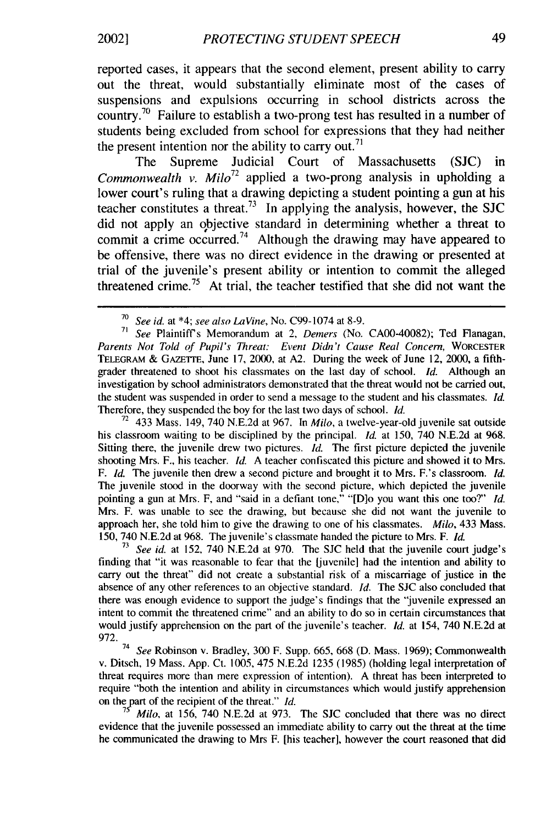reported cases, it appears that the second element, present ability to carry out the threat, would substantially eliminate most of the cases of suspensions and expulsions occurring in school districts across the country.<sup>70</sup> Failure to establish a two-prong test has resulted in a number of students being excluded from school for expressions that they had neither the present intention nor the ability to carry out.<sup>71</sup>

The Supreme Judicial Court of Massachusetts (SJC) in *Commonwealth v. Milo*<sup>72</sup> applied a two-prong analysis in upholding a lower court's ruling that a drawing depicting a student pointing a gun at his teacher constitutes a threat.<sup>73</sup> In applying the analysis, however, the SJC did not apply an objective standard in determining whether a threat to commit a crime occurred.<sup>74</sup> Although the drawing may have appeared to be offensive, there was no direct evidence in the drawing or presented at trial of the juvenile's present ability or intention to commit the alleged threatened crime.<sup>75</sup> At trial, the teacher testified that she did not want the

**<sup>71</sup>***See* Plaintiffs Memorandum at 2, *Demers* (No. CA00-40082); Ted Flanagan, *Parents Not Told of Pupil's Threat: Event Didn't Cause Real Concern,* WORCESTER TELEGRAM & **GAZETTE,** June 17, 2000, at A2. During the week of June 12, 2000, a fifthgrader threatened to shoot his classmates on the last day of school. *Id.* Although an investigation by school administrators demonstrated that the threat would not be carried out, the student was suspended in order to send a message to the student and his classmates. *Id.* Therefore, they suspended the boy for the last two days of school. *Id.*

<sup>72</sup> 433 Mass. 149, 740 N.E.2d at 967. In *Milo*, a twelve-year-old juvenile sat outside his classroom waiting to be disciplined by the principal. *Id.* at 150, 740 N.E.2d at 968. Sitting there, the juvenile drew two pictures. *Id.* The first picture depicted the juvenile shooting Mrs. F., his teacher. *Id.* A teacher confiscated this picture and showed it to Mrs. F. *Id.* The juvenile then drew a second picture and brought it to Mrs. F.'s classroom. *Id.* The juvenile stood in the doorway with the second picture, which depicted the juvenile pointing a gun at Mrs. F, and "said in a defiant tone," "[D]o you want this one too?" *Id.* Mrs. F. was unable to see the drawing, but because she did not want the juvenile to approach her, she told him to give the drawing to one of his classmates. *Milo,* 433 Mass. 150, 740 N.E.2d at 968. The juvenile's classmate handed the picture to Mrs. F. *Id.*

**<sup>73</sup>***See id.* at 152, 740 N.E.2d at 970. The SJC held that the juvenile court judge's finding that "it was reasonable to fear that the [juvenile] had the intention and ability to carry out the threat" did not create a substantial risk of a miscarriage of justice in the absence of any other references to an objective standard. *Id.* The **SJC** also concluded that there was enough evidence to support the judge's findings that the "juvenile expressed an intent to commit the threatened crime" and an ability to do so in certain circumstances that would justify apprehension on the part of the juvenile's teacher. *Id.* at 154, 740 N.E.2d at 972.

<sup>74</sup>*See* Robinson v. Bradley, 300 F. Supp. 665, 668 (D. Mass. 1969); Commonwealth v. Ditsch, 19 Mass. App. Ct. 1005, 475 N.E.2d 1235 (1985) (holding legal interpretation of threat requires more than mere expression of intention). A threat has been interpreted to require "both the intention and ability in circumstances which would justify apprehension on the part of the recipient of the threat." *Id.* 

*Milo, at 156, 740 N.E.2d at 973.* The SJC concluded that there was no direct evidence that the juvenile possessed an immediate ability to carry out the threat at the time he communicated the drawing to Mrs F. [his teacher], however the court reasoned that did

<sup>70</sup>*See id.* at \*4; *see also LaVine,* No. C99-1074 at 8-9.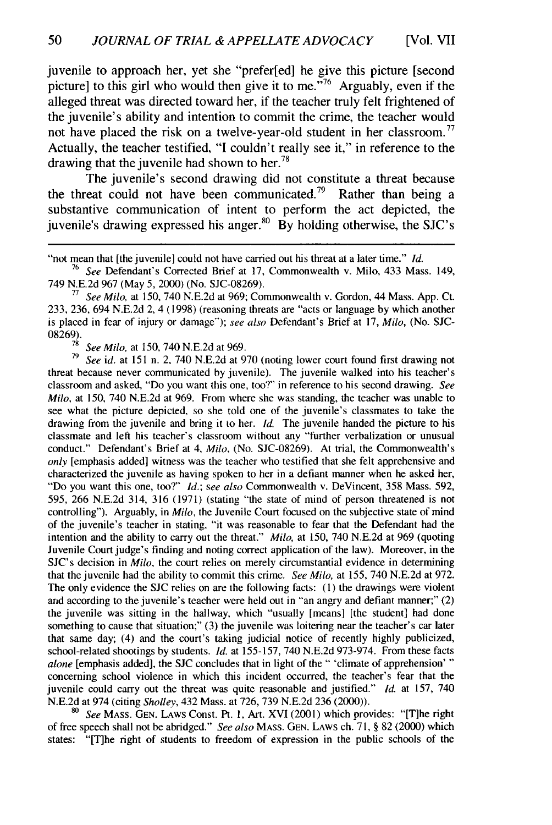juvenile to approach her, yet she "prefer[ed] he give this picture [second picture] to this girl who would then give it to me.<sup>776</sup> Arguably, even if the alleged threat was directed toward her, if the teacher truly felt frightened of the juvenile's ability and intention to commit the crime, the teacher would not have placed the risk on a twelve-year-old student in her classroom.<sup>77</sup> Actually, the teacher testified, "I couldn't really see it," in reference to the drawing that the juvenile had shown to her.<sup>78</sup>

The juvenile's second drawing did not constitute a threat because the threat could not have been communicated.<sup>79</sup> Rather than being a substantive communication of intent to perform the act depicted, the juvenile's drawing expressed his anger.<sup>80</sup> By holding otherwise, the SJC's

**<sup>77</sup>***See Milo,* at 150, 740 N.E.2d at 969; Commonwealth v. Gordon, 44 Mass. App. Ct. 233, 236, 694 N.E.2d 2, 4 (1998) (reasoning threats are "acts or language by which another is placed in fear of injury or damage"); *see also* Defendant's Brief at 17, *Milo,* (No. SJC-08269).

<sup>78</sup> See Milo, at 150, 740 N.E.2d at 969.<br><sup>79</sup> Sanid, at 151 p. 2, 740 N.E.2d at 0.

**<sup>79</sup>***See id.* at 151 n. 2, 740 N.E.2d at 970 (noting lower court found first drawing not threat because never communicated by juvenile). The juvenile walked into his teacher's classroom and asked, "Do you want this one, too?" in reference to his second drawing. *See Milo,* at 150, 740 N.E.2d at 969. From where she was standing, the teacher was unable to see what the picture depicted, so she told one of the juvenile's classmates to take the drawing from the juvenile and bring it to her. *Id.* The juvenile handed the picture to his classmate and left his teacher's classroom without any "further verbalization or unusual conduct." Defendant's Brief at 4, *Milo,* (No. SJC-08269). At trial, the Commonwealth's *only* [emphasis added] witness was the teacher who testified that she felt apprehensive and characterized the juvenile as having spoken to her in a defiant manner when he asked her, "Do you want this one, too?" *Id.; see also* Commonwealth v. DeVincent, 358 Mass. 592, 595, 266 N.E.2d 314, 316 (1971) (stating "the state of mind of person threatened is not controlling"). Arguably, in *Milo,* the Juvenile Court focused on the subjective state of mind of the juvenile's teacher in stating, "it was reasonable to fear that the Defendant had the intention and the ability to carry out the threat." *Milo,* at 150, 740 N.E.2d at 969 (quoting Juvenile Court judge's finding and noting correct application of the law). Moreover, in the SJC's decision in *Milo,* the court relies on merely circumstantial evidence in determining that the juvenile had the ability to commit this crime. *See Milo,* at 155, 740 N.E.2d at 972. The only evidence the **SJC** relies on are the following facts: (1) the drawings were violent and according to the juvenile's teacher were held out in "an angry and defiant manner;" (2) the juvenile was sitting in the hallway, which "usually [means] [the student] had done something to cause that situation;" (3) the juvenile was loitering near the teacher's car later that same day; (4) and the court's taking judicial notice of recently highly publicized, school-related shootings by students. *id.* at 155-157, 740 N.E.2d 973-974. From these facts *alone* [emphasis added], the **SJC** concludes that in light of the" 'climate of apprehension' **"** concerning school violence in which this incident occurred, the teacher's fear that the juvenile could carry out the threat was quite reasonable and justified." *Id.* at 157, 740 N.E.2d at 974 (citing *Sholley,* 432 Mass. at 726, 739 N.E.2d 236 (2000)).

**<sup>80</sup>***See* MASS. GEN. LAWS Const. Pt. **1,** Art. XVI (2001) which provides: "[T]he right of free speech shall not be abridged." *See also* MASS. GEN. LAWS ch. 71, § 82 (2000) which states: "[T]he right of students to freedom of expression in the public schools of the

<sup>&</sup>quot;not mean that [the juvenile] could not have carried out his threat at a later time." *Id.*

<sup>76</sup> *See* Defendant's Corrected Brief at 17, Commonwealth v. Milo, 433 Mass. 149, 749 N.E.2d 967 (May 5, 2000) (No. SJC-08269).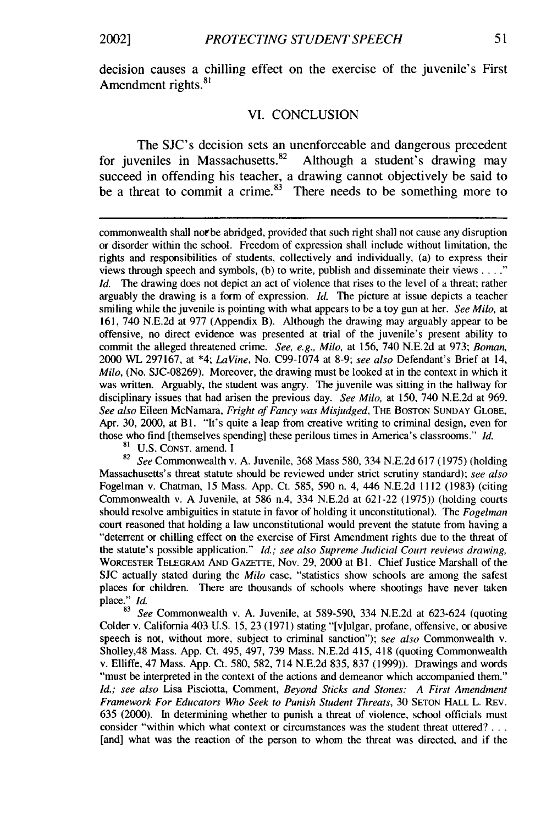decision causes a chilling effect on the exercise of the juvenile's First Amendment rights.<sup>8</sup>

#### VI. CONCLUSION

The SJC's decision sets an unenforceable and dangerous precedent for juveniles in Massachusetts.<sup>82</sup> Although a student's drawing may succeed in offending his teacher, a drawing cannot objectively be said to be a threat to commit a crime.<sup>83</sup> There needs to be something more to

commonwealth shall not be abridged, provided that such right shall not cause any disruption or disorder within the school. Freedom of expression shall include without limitation, the rights and responsibilities of students, collectively and individually, (a) to express their views through speech and symbols, (b) to write, publish and disseminate their views **......** *Id.* The drawing does not depict an act of violence that rises to the level of a threat; rather arguably the drawing is a form of expression. **Id.** The picture at issue depicts a teacher smiling while the juvenile is pointing with what appears to be a toy gun at her. *See Milo,* at 161, 740 N.E.2d at 977 (Appendix B). Although the drawing may arguably appear to be offensive, no direct evidence was presented at trial of the juvenile's present ability to commit the alleged threatened crime. *See, e.g., Milo,* at 156, 740 N.E.2d at 973; *Boman,* 2000 WL 297167, at \*4; *LaVine,* No. C99-1074 at 8-9; *see also* Defendant's Brief at 14, *Milo,* (No. SJC-08269). Moreover, the drawing must be looked at in the context in which it was written. Arguably, the student was angry. The juvenile was sitting in the hallway for disciplinary issues that had arisen the previous day. *See Milo,* at 150, 740 N.E.2d at 969. *See also* Eileen McNamara, *Fright of Fancy was Misjudged,* THE BOSTON SUNDAY GLOBE, Apr. 30, 2000, at Bl. "It's quite a leap from creative writing to criminal design, even for those who find [themselves spending] these perilous times in America's classrooms." *Id.*

81 **U.S.** CONST. amend. I

<sup>82</sup>*See* Commonwealth v. A. Juvenile, 368 Mass 580, 334 N.E.2d 617 (1975) (holding Massachusetts's threat statute should be reviewed under strict scrutiny standard); *see also* Fogelman v. Chatman, 15 Mass. App. Ct. 585, 590 n. 4, 446 N.E.2d 1112 (1983) (citing Commonwealth v. A Juvenile, at 586 n.4, 334 N.E.2d at 621-22 (1975)) (holding courts should resolve ambiguities in statute in favor of holding it unconstitutional). The *Fogelman* court reasoned that holding a law unconstitutional would prevent the statute from having a "deterrent or chilling effect on the exercise of First Amendment rights due to the threat of the statute's possible application." *Id.; see also Supreme Judicial Court reviews drawing,* WORCESTER TELEGRAM AND GAZETTE, Nov. 29, 2000 at Bl. Chief Justice Marshall of the **SJC** actually stated during the *Milo* case, "statistics show schools are among the safest places for children. There are thousands of schools where shootings have never taken place."  $Id$ .<br> $83 \frac{ }{ }$ 

<sup>83</sup>*See* Commonwealth v. A. Juvenile, at 589-590, 334 N.E.2d at 623-624 (quoting Colder v. California 403 U.S. 15, 23 (1971) stating "[v]ulgar, profane, offensive, or abusive speech is not, without more, subject to criminal sanction"); *see also* Commonwealth v. Sholley,48 Mass. App. Ct. 495, 497, 739 Mass. N.E.2d 415, 418 (quoting Commonwealth v. Elliffe, 47 Mass. App. Ct. 580, 582, 714 N.E.2d 835, 837 (1999)). Drawings and words "must be interpreted in the context of the actions and demeanor which accompanied them." *Id.; see also* Lisa Pisciotta, Comment, *Beyond Sticks and Stones: A First Amendment* Framework For Educators Who Seek to Punish Student Threats, 30 SETON HALL L. REV. 635 (2000). In determining whether to punish a threat of violence, school officials must consider "within which what context or circumstances was the student threat uttered? ... [and] what was the reaction of the person to whom the threat was directed, and if the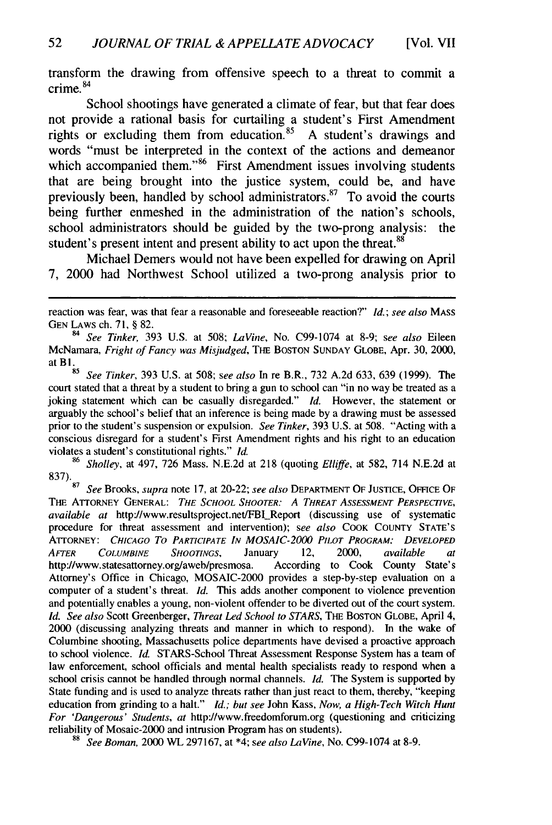transform the drawing from offensive speech to a threat to commit a crime. <sup>84</sup>

School shootings have generated a climate of fear, but that fear does not provide a rational basis for curtailing a student's First Amendment rights or excluding them from education.<sup>85</sup> A student's drawings and words "must be interpreted in the context of the actions and demeanor which accompanied them."<sup>86</sup> First Amendment issues involving students that are being brought into the justice system, could be, and have previously been, handled by school administrators.<sup>87</sup> To avoid the courts being further enmeshed in the administration of the nation's schools, school administrators should be guided by the two-prong analysis: the student's present intent and present ability to act upon the threat.<sup>88</sup>

Michael Demers would not have been expelled for drawing on April 7, 2000 had Northwest School utilized a two-prong analysis prior to

**<sup>85</sup>***See Tinker,* 393 U.S. at 508; *see also* In re B.R., 732 A.2d 633, 639 (1999). The court stated that a threat by a student to bring a gun to school can "in no way be treated as a joking statement which can be casually disregarded." *Id.* However, the statement or arguably the school's belief that an inference is being made by a drawing must be assessed prior to the student's suspension or expulsion. See Tinker, 393 U.S. at 508. "Acting with a conscious disregard for a student's First Amendment rights and his right to an education violates a student's constitutional rights." *Id.*

<sup>86</sup>Sholley, at 497, 726 Mass. N.E.2d at 218 (quoting *Elliffe,* at 582, 714 N.E.2d at 837).  $_{87}$ 

<sup>87</sup>See Brooks, supra note 17, at 20-22; see *also* DEPARTMENT OF JUSTICE, **OFFICE** OF THE ATTORNEY GENERAL: THE **SCHOOL** SHOOTER: A THREAT ASSESSMENT PERSPECTIVE, available *at* http://www.resultsproject.net/FBl\_.Report (discussing use of systematic procedure for threat assessment and intervention); see *also* COOK **COUNTY STATE'S** ATIrORNEY: CHICAGO To **PARTICIPATE IN** MOSAIC-2000 PILOT PROGRAM: **DEVELOPED** AFTER **COLUMBINE SHOOTINGS,** January 12, 2000, available at http://www.statesattorney.org/aweb/presmosa. According to Cook County State's Attorney's Office in Chicago, MOSAIC-2000 provides a step-by-step evaluation on a computer of a student's threat. Id. This adds another component to violence prevention and potentially enables a young, non-violent offender to be diverted out of the court system. *Id. See* also Scott Greenberger, Threat Led School to STARS, THE BOSTON GLOBE, April 4, 2000 (discussing analyzing threats and manner in which to respond). In the wake of Columbine shooting, Massachusetts police departments have devised a proactive approach to school violence. *Id.* STARS-School Threat Assessment Response System has a team of law enforcement, school officials and mental health specialists ready to respond when a school crisis cannot be handled through normal channels. *Id.* The System is supported by State funding and is used to analyze threats rather than just react to them, thereby, "keeping education from grinding to a halt." Id.; but see John Kass, *Now, a High-Tech Witch Hunt* For 'Dangerous' Students, at http://www.freedomforum.org (questioning and criticizing reliability of Mosaic-2000 and intrusion Program has on students).

reaction was fear, was that fear a reasonable and foreseeable reaction?" *Id.; see also* **MASS GEN** LAWS ch. 71, § 82.

*<sup>84</sup>See Tinker,* 393 U.S. at 508; *LaVine,* No. C99-1074 at 8-9; *see also* Eileen McNamara, *Fright of Fancy was Misjudged,* THE BOSTON SUNDAY GLOBE, Apr. 30, 2000, at B1.

<sup>88</sup>See *Boman,* 2000 WL 297167, at \*4; *see also LaVine,* No. C99-1074 at 8-9.